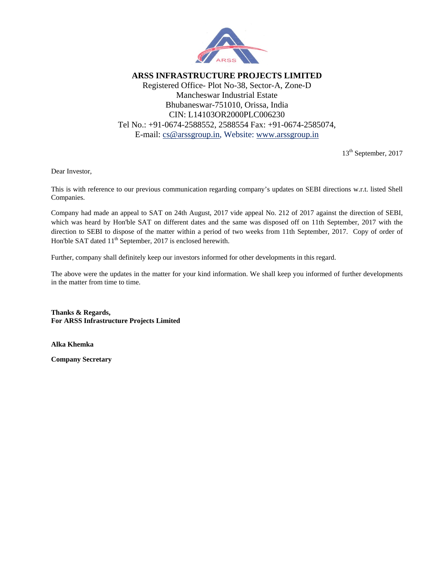

**ARSS INFRASTRUCTURE PROJECTS LIMITED**  Registered Office- Plot No-38, Sector-A, Zone-D Mancheswar Industrial Estate Bhubaneswar-751010, Orissa, India CIN: L14103OR2000PLC006230 Tel No.: +91-0674-2588552, 2588554 Fax: +91-0674-2585074, E-mail: cs@arssgroup.in, Website: www.arssgroup.in

13<sup>th</sup> September, 2017

Dear Investor,

This is with reference to our previous communication regarding company's updates on SEBI directions w.r.t. listed Shell Companies.

Company had made an appeal to SAT on 24th August, 2017 vide appeal No. 212 of 2017 against the direction of SEBI, which was heard by Hon'ble SAT on different dates and the same was disposed off on 11th September, 2017 with the direction to SEBI to dispose of the matter within a period of two weeks from 11th September, 2017. Copy of order of Hon'ble SAT dated 11<sup>th</sup> September, 2017 is enclosed herewith.

Further, company shall definitely keep our investors informed for other developments in this regard.

The above were the updates in the matter for your kind information. We shall keep you informed of further developments in the matter from time to time.

**Thanks & Regards, For ARSS Infrastructure Projects Limited** 

**Alka Khemka** 

**Company Secretary**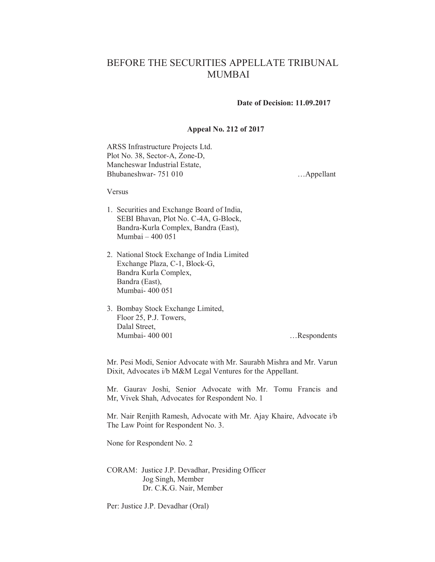## BEFORE THE SECURITIES APPELLATE TRIBUNAL **MUMBAI**

## **Date of Decision: 11.09.2017**

## Appeal No. 212 of 2017

ARSS Infrastructure Projects Ltd. Plot No. 38, Sector-A, Zone-D, Mancheswar Industrial Estate, Bhubaneshwar-751 010

...Appellant

Versus

- 1. Securities and Exchange Board of India, SEBI Bhavan, Plot No. C-4A, G-Block, Bandra-Kurla Complex, Bandra (East), Mumbai - 400 051
- 2. National Stock Exchange of India Limited Exchange Plaza, C-1, Block-G, Bandra Kurla Complex, Bandra (East), Mumbai-400 051
- 3. Bombay Stock Exchange Limited, Floor 25, P.J. Towers, Dalal Street. Mumbai-400 001

...Respondents

Mr. Pesi Modi, Senior Advocate with Mr. Saurabh Mishra and Mr. Varun Dixit, Advocates i/b M&M Legal Ventures for the Appellant.

Mr. Gaurav Joshi, Senior Advocate with Mr. Tomu Francis and Mr, Vivek Shah, Advocates for Respondent No. 1

Mr. Nair Renjith Ramesh, Advocate with Mr. Ajay Khaire, Advocate i/b The Law Point for Respondent No. 3.

None for Respondent No. 2

CORAM: Justice J.P. Devadhar, Presiding Officer Jog Singh, Member Dr. C.K.G. Nair, Member

Per: Justice J.P. Devadhar (Oral)